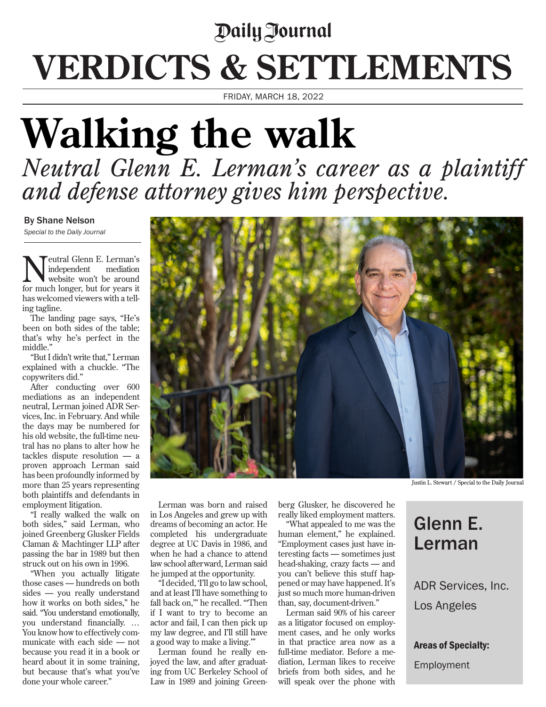## Daily Journal **VERDICTS & SETTLEMENTS**

FRIDAY, MARCH 18, 2022

## **Walking the walk** *Neutral Glenn E. Lerman's career as a plaintiff and defense attorney gives him perspective.*

## By Shane Nelson

*Special to the Daily Journal*

**T**eutral Glenn E. Lerman's<br>independent mediation independent website won't be around for much longer, but for years it has welcomed viewers with a telling tagline.

The landing page says, "He's been on both sides of the table; that's why he's perfect in the middle."

"But I didn't write that," Lerman explained with a chuckle. "The copywriters did."

After conducting over 600 mediations as an independent neutral, Lerman joined ADR Services, Inc. in February. And while the days may be numbered for his old website, the full-time neutral has no plans to alter how he tackles dispute resolution — a proven approach Lerman said has been profoundly informed by more than 25 years representing both plaintiffs and defendants in employment litigation.

"I really walked the walk on both sides," said Lerman, who joined Greenberg Glusker Fields Claman & Machtinger LLP after passing the bar in 1989 but then struck out on his own in 1996.

"When you actually litigate those cases — hundreds on both sides — you really understand how it works on both sides," he said. "You understand emotionally, you understand financially. … You know how to effectively communicate with each side — not because you read it in a book or heard about it in some training, but because that's what you've done your whole career."



Justin L. Stewart / Special to the Daily Journal

Lerman was born and raised in Los Angeles and grew up with dreams of becoming an actor. He completed his undergraduate degree at UC Davis in 1986, and when he had a chance to attend law school afterward, Lerman said he jumped at the opportunity.

"I decided, 'I'll go to law school, and at least I'll have something to fall back on,'" he recalled. "'Then if I want to try to become an actor and fail, I can then pick up my law degree, and I'll still have a good way to make a living.'"

Lerman found he really enjoyed the law, and after graduating from UC Berkeley School of Law in 1989 and joining Greenberg Glusker, he discovered he really liked employment matters.

"What appealed to me was the human element," he explained. "Employment cases just have interesting facts — sometimes just head-shaking, crazy facts — and you can't believe this stuff happened or may have happened. It's just so much more human-driven than, say, document-driven."

Lerman said 90% of his career as a litigator focused on employment cases, and he only works in that practice area now as a full-time mediator. Before a mediation, Lerman likes to receive briefs from both sides, and he will speak over the phone with

Glenn E. Lerman

ADR Services, Inc. Los Angeles

Areas of Specialty:

Employment